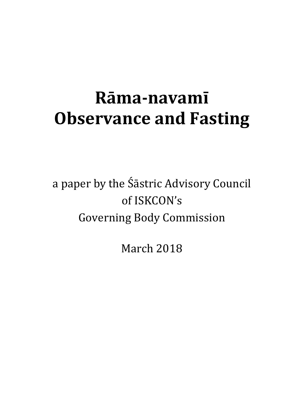# **Rāma‐navamī Observance and Fasting**

a paper by the Śāstric Advisory Council of ISKCON's Governing Body Commission

March 2018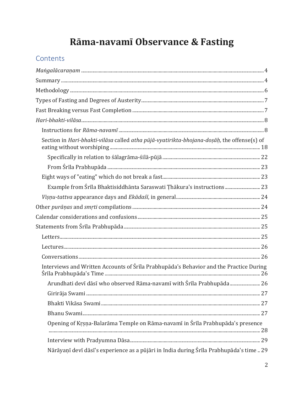# Rāma-navamī Observance & Fasting

# Contents

| Section in Hari-bhakti-vilāsa called atha pūjā-vyatirikta-bhojana-doșāḥ, the offense(s) of |  |
|--------------------------------------------------------------------------------------------|--|
|                                                                                            |  |
|                                                                                            |  |
|                                                                                            |  |
| Example from Śrīla Bhaktisiddhānta Saraswati Țhākura's instructions 23                     |  |
|                                                                                            |  |
|                                                                                            |  |
|                                                                                            |  |
|                                                                                            |  |
|                                                                                            |  |
|                                                                                            |  |
|                                                                                            |  |
| Interviews and Written Accounts of Śrīla Prabhupāda's Behavior and the Practice During     |  |
| Arundhati devī dāsī who observed Rāma-navamī with Śrīla Prabhupāda                         |  |
|                                                                                            |  |
|                                                                                            |  |
|                                                                                            |  |
| Opening of Krsna-Balarāma Temple on Rāma-navamī in Śrīla Prabhupāda's presence             |  |
|                                                                                            |  |
| Nārāyanī devī dāsī's experience as a pūjāri in India during Śrīla Prabhupāda's time 29     |  |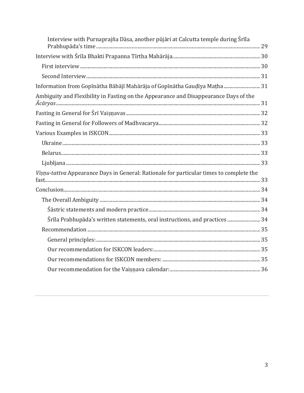| Interview with Purnaprajña Dāsa, another pūjāri at Calcutta temple during Śrīla         |  |
|-----------------------------------------------------------------------------------------|--|
|                                                                                         |  |
|                                                                                         |  |
|                                                                                         |  |
| Information from Gopīnātha Bābājī Mahārāja of Gopīnātha Gaudīya Matha  31               |  |
| Ambiguity and Flexibility in Fasting on the Appearance and Disappearance Days of the    |  |
|                                                                                         |  |
|                                                                                         |  |
|                                                                                         |  |
|                                                                                         |  |
|                                                                                         |  |
|                                                                                         |  |
| Visnu-tattva Appearance Days in General: Rationale for particular times to complete the |  |
|                                                                                         |  |
|                                                                                         |  |
|                                                                                         |  |
| Śrīla Prabhupāda's written statements, oral instructions, and practices  34             |  |
|                                                                                         |  |
|                                                                                         |  |
|                                                                                         |  |
|                                                                                         |  |
|                                                                                         |  |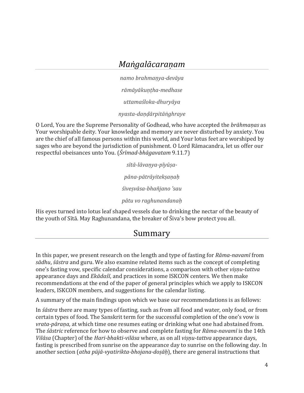# *Maṅgalācaraṇam*

*namo brahmaṇya-devāya*

*rāmāyākuṇṭha-medhase*

*uttamaśloka-dhuryāya*

*nyasta-daṇḍārpitāṅghraye*

<span id="page-3-0"></span>O Lord, You are the Supreme Personality of Godhead, who have accepted the *brāhmaṇas* as Your worshipable deity. Your knowledge and memory are never disturbed by anxiety. You are the chief of all famous persons within this world, and Your lotus feet are worshiped by sages who are beyond the jurisdiction of punishment. O Lord Rāmacandra, let us offer our respectful obeisances unto You. (*Śrīmad-bhāgavatam* 9.11.7)

> *sītā-lāvaṇya-pīyūṣapāna-pātrāyitekṣaṇaḥ śiveṣvāsa-bhañjano 'sau pātu vo raghunandanaḥ*

<span id="page-3-1"></span>His eyes turned into lotus leaf shaped vessels due to drinking the nectar of the beauty of the youth of Sītā. May Raghunandana, the breaker of Śiva's bow protect you all.

# Summary

In this paper, we present research on the length and type of fasting for *Rāma-navamī* from *sādhu*, *śāstra* and guru. We also examine related items such as the concept of completing one's fasting vow, specific calendar considerations, a comparison with other *viṣṇu-tattva* appearance days and *Ekādaśī*, and practices in some ISKCON centers. We then make recommendations at the end of the paper of general principles which we apply to ISKCON leaders, ISKCON members, and suggestions for the calendar listing.

A summary of the main findings upon which we base our recommendations is as follows:

In *śāstra* there are many types of fasting, such as from all food and water, only food, or from certain types of food. The Sanskrit term for the successful completion of the one's vow is *vrata-pāraṇa,* at which time one resumes eating or drinking what one had abstained from. The *śāstric* reference for how to observe and complete fasting for *Rāma-navamī* is the 14th *Vilāsa* (Chapter) of the *Hari-bhakti-vilāsa* where, as on all *viṣṇu-tattva* appearance days, fasting is prescribed from sunrise on the appearance day to sunrise on the following day. In another section (*atha pūjā-vyatirikta-bhojana-doṣāḥ*), there are general instructions that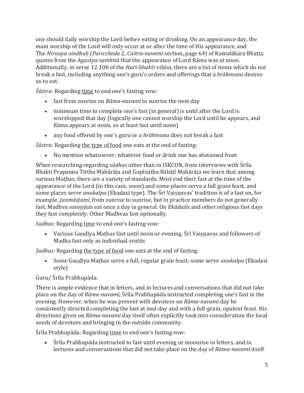one should daily worship the Lord before eating or drinking. On an appearance day, the main worship of the Lord will only occur at or after the time of His appearance, and The *Nirṇaya-sindhuḥ* (*Pariccheda* 2, *Caitra-navamī* section, page 64) of Kamalākara Bhaṭṭa quotes from the *Agastya-saṁhitā* that the appearance of Lord Rāma was at noon. Additionally, in verse 12.100 of the *Hari-bhakti-vilāsa*, there are a list of items which do not break a fast, including anything one's guru's orders and offerings that a *brāhmaṇa* desires us to eat.

*Śāstra:* Regarding time to end one's fasting vow:

- fast from sunrise on *Rāma-navamī* to sunrise the next day
- minimum time to complete one's fast (in general) is until after the Lord is worshipped that day (logically one cannot worship the Lord until he appears, and Rāma appears at noon, so at least fast until noon)
- any food offered by one's guru or a *brāhmana* does not break a fast

*Śāstra:* Regarding the type of food one eats at the end of fasting:

• No mention whatsoever; whatever food or drink one has abstained from

When researching regarding s*ādhus* other than in ISKCON, from interviews with Śrīla Bhakti Prapanna Tīrtha Mahārāja and Gopīnātha Bābājī Mahārāja we learn that among various Maṭhas, there are a variety of standards. Most end their fast at the time of the appearance of the Lord (in this case, noon) and some places serve a full grain feast, and some places serve *anukalpa* (Ekadasi type). The Śrī Vaisnavas' tradition is of a fast on, for example, *Janmāṣṭamī*, from sunrise to sunrise, but in practice members do not generally fast. Madhva *sannyāsīs* eat once a day in general. On *Ekādaśīs* and other religious fast days they fast completely. Other Madhvas fast optionally.

Sadhus: Regarding time to end one's fasting vow:

• Various Gaudīya Mathas fast until noon or evening. Śrī Vaisnavas and followers of Madha fast only as individual *vratās.*

Sadhus: Regarding the type of food one eats at the end of fasting:

• Some Gauḍīya Maṭhas serve a full, regular grain feast; some serve *anukalpa* (Ekadasi style)

### Guru/ Śrīla Prabhupāda:

There is ample evidence that in letters, and in lectures and conversations that did not take place on the day of *Rāma-navamī,* Śrīla Prabhupāda instructed completing one's fast in the evening. However, when he was present with devotees on *Rāma-navamī* day he consistently directed completing the fast at mid-day and with a full-grain, opulent feast. His directions given on *Rāma-navamī* day itself often explicitly took into consideration the local needs of devotees and bringing in the outside community.

Śrīla Prabhupāda: Regarding time to end one's fasting vow:

• Śrīla Prabhupāda instructed to fast until evening or moonrise in letters, and in lectures and conversations that did not take place on the day of *Rāma-navamī* itself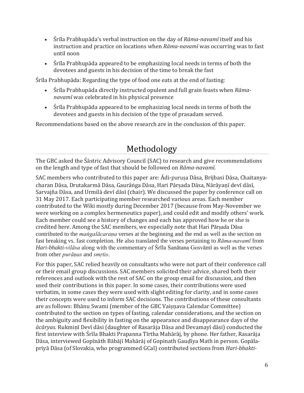- Śrīla Prabhupāda's verbal instruction on the day of *Rāma-navamī* itself and his instruction and practice on locations when *Rāma-navamī* was occurring was to fast until noon
- Śrīla Prabhupāda appeared to be emphasizing local needs in terms of both the devotees and guests in his decision of the time to break the fast

Śrīla Prabhupāda: Regarding the type of food one eats at the end of fasting:

- Śrīla Prabhupāda directly instructed opulent and full grain feasts when *Rāmanavamī* was celebrated in his physical presence
- Śrīla Prabhupāda appeared to be emphasizing local needs in terms of both the devotees and guests in his decision of the type of prasadam served.

Recommendations based on the above research are in the conclusion of this paper.

# Methodology

<span id="page-5-0"></span>The GBC asked the Śāstric Advisory Council (SAC) to research and give recommendations on the length and type of fast that should be followed on *Rāma-navamī*.

SAC members who contributed to this paper are: Ādi-purusa Dāsa, Brijbasi Dāsa, Chaitanyacharan Dāsa, Drutakarmā Dāsa, Gaurāṅga Dāsa, Hari Pārṣada Dāsa, Nārāyaṇī devī dāsī, Sarvajña Dāsa, and Urmilā devī dāsī (chair). We discussed the paper by conference call on 31 May 2017. Each participating member researched various areas. Each member contributed to the Wiki mostly during December 2017 (because from May-November we were working on a complex hermeneutics paper), and could edit and modify others' work. Each member could see a history of changes and each has approved how he or she is credited here. Among the SAC members, we especially note that Hari Pārṣada Dāsa contributed to the *maṅgalācaraṇa* verses at the beginning and the end as well as the section on fast breaking vs. fast completion. He also translated the verses pertaining to *Rāma-navamī* from *Hari-bhakti-vilāsa* along with the commentary of Śrīla Sanātana Gosvāmī as well as the verses from other *purāṇas* and *smṛtis*.

For this paper, SAC relied heavily on consultants who were not part of their conference call or their email group discussions. SAC members solicited their advice, shared both their references and outlook with the rest of SAC on the group email for discussion, and then used their contributions in this paper. In some cases, their contributions were used verbatim, in some cases they were used with slight editing for clarity, and in some cases their concepts were used to inform SAC decisions. The contributions of these consultants are as follows: Bhānu Swami (member of the GBC Vaisnava Calendar Committee) contributed to the section on types of fasting, calendar considerations, and the section on the ambiguity and flexibility in fasting on the appearance and disappearance days of the *ācāryas*. Rukmiṇī Devī dāsi (daughter of Rasarāja Dāsa and Devamayī dāsi) conducted the first interview with Śrīla Bhakti Prapanna Tīrtha Mahārāj, by phone. Her father, Rasarāja Dāsa, interviewed Gopīnāth Bābājī Mahārāj of Gopinath Gauḍīya Math in person. Gopālapriyā Dāsa (of Slovakia, who programmed GCal) contributed sections from *Hari-bhakti-*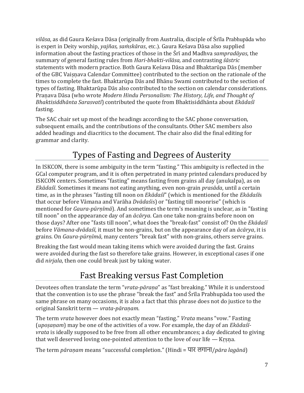*vilāsa*, as did Gaura Keśava Dāsa (originally from Australia, disciple of Śrīla Prabhupāda who is expert in Deity worship, *yajñas, saṁskāras*, etc.). Gaura Keśava Dāsa also supplied information about the fasting practices of those in the Śrī and Madhva *sampradāyas*, the summary of general fasting rules from *Hari-bhakti-vilāsa,* and contrasting *śāstric* statements with modern practice. Both Gaura Keśava Dāsa and Bhaktarūpa Dās (member of the GBC Vaiṣṇava Calendar Committee) contributed to the section on the rationale of the times to complete the fast. Bhaktarūpa Dās and Bhānu Swami contributed to the section of types of fasting. Bhaktarūpa Dās also contributed to the section on calendar considerations. Praṇava Dāsa (who wrote *Modern Hindu Personalism: The History, Life, and Thought of Bhaktisiddhānta Sarasvatī*) contributed the quote from Bhaktisiddhānta about *Ekādaśī* fasting.

The SAC chair set up most of the headings according to the SAC phone conversation, subsequent emails, and the contributions of the consultants. Other SAC members also added headings and diacritics to the document. The chair also did the final editing for grammar and clarity.

# Types of Fasting and Degrees of Austerity

<span id="page-6-0"></span>In ISKCON, there is some ambiguity in the term "fasting." This ambiguity is reflected in the GCal computer program, and it is often perpetrated in many printed calendars produced by ISKCON centers. Sometimes "fasting" means fasting from grains all day (anukalpa), as on *Ekādaśī*. Sometimes it means not eating anything, even non-grain *prasāda*, until a certain time, as in the phrases "fasting till noon on *Ekādaśī*" (which is mentioned for the *Ekādaśī*s that occur before Vāmana and Varāha *Dvādaśis*) or "fasting till moonrise" (which is mentioned for *Gaura-pūrṇīmā*). And sometimes the term's meaning is unclear, as in "fasting till noon" on the appearance day of an *ācārya*. Can one take non-grains before noon on those days? After one "fasts till noon", what does the "break-fast" consist of? On the *Ekādaśī* before *Vāmana-dvādaśī*, it must be non-grains, but on the appearance day of an *ācārya*, it is grains. On *Gaura-pūrṇīmā*, many centers "break fast" with non-grains, others serve grains.

Breaking the fast would mean taking items which were avoided during the fast. Grains were avoided during the fast so therefore take grains. However, in exceptional cases if one did *nirjala*, then one could break just by taking water.

# Fast Breaking versus Fast Completion

<span id="page-6-1"></span>Devotees often translate the term "*vrata-pāraṇa*" as "fast breaking." While it is understood that the convention is to use the phrase "break the fast" and Śrīla Prabhupāda too used the same phrase on many occasions, it is also a fact that this phrase does not do justice to the original Sanskrit term — *vrata-pāraṇam*.

The term *vrata* however does not exactly mean "fasting." *Vrata* means "vow." Fasting (*upoṣaṇam*) may be one of the activities of a vow. For example, the day of an *Ekādaśīvrata* is ideally supposed to be free from all other encumbrances; a day dedicated to giving that well deserved loving one-pointed attention to the love of our life — Krsna.

The term *pāraṇam* means "successful completion." (Hindi = पार लगाना/*pāra lagānā*)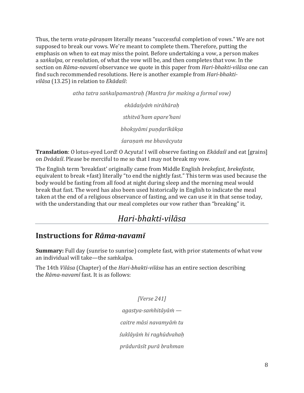Thus, the term *vrata-pāraṇam* literally means "successful completion of vows." We are not supposed to break our vows. We're meant to complete them. Therefore, putting the emphasis on when to eat may miss the point. Before undertaking a vow, a person makes a *saṅkalpa*, or resolution, of what the vow will be, and then completes that vow. In the section on *Rāma-navamī* observance we quote in this paper from *Hari-bhakti-vilāsa* one can find such recommended resolutions. Here is another example from *Hari-bhaktivilāsa* (13.25) in relation to *Ekādaśī*:

> *atha tatra saṅkalpamantraḥ (Mantra for making a formal vow) ekādaśyāṁ nirāhāraḥ sthitvā'ham apare'hani bhokṣyāmi puṇḍarīkākṣa śaraṇaṁ me bhavācyuta*

**Translation**: O lotus-eyed Lord! O Acyuta! I will observe fasting on *Ekādaśī* and eat [grains] on *Dvādaśī*. Please be merciful to me so that I may not break my vow.

The English term 'breakfast' originally came from Middle English *brekefast, brekefaste*, equivalent to break +fast) literally "to end the nightly fast." This term was used because the body would be fasting from all food at night during sleep and the morning meal would break that fast. The word has also been used historically in English to indicate the meal taken at the end of a religious observance of fasting, and we can use it in that sense today, with the understanding that our meal completes our vow rather than "breaking" it.

# *Hari-bhakti-vilāsa*

### <span id="page-7-1"></span><span id="page-7-0"></span>**Instructions for** *Rāma-navamī*

**Summary:** Full day (sunrise to sunrise) complete fast, with prior statements of what vow an individual will take—the saṁkalpa.

The 14th *Vilāsa* (Chapter) of the *Hari-bhakti-vilāsa* has an entire section describing the *Rāma-navamī* fast. It is as follows:

*[Verse 241]*

*agastya-saṁhitāyāṁ —*

*caitre māsi navamyāṁ tu*

*śuklāyāṁ hi raghūdvahaḥ*

*prādurāsīt purā brahman*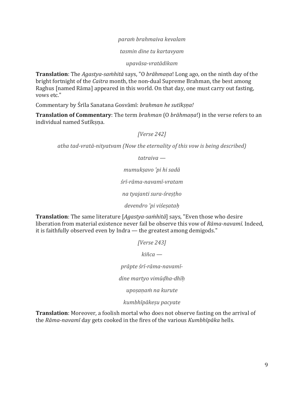#### *paraṁ brahmaiva kevalam*

*tasmin dine tu kartavyam*

*upavāsa-vratādikam*

**Translation**: The *Agastya-saṁhitā* says, "O *brāhmaṇa*! Long ago, on the ninth day of the bright fortnight of the *Caitra* month, the non-dual Supreme Brahman, the best among Raghus [named Rāma] appeared in this world. On that day, one must carry out fasting, vows etc."

Commentary by Śrīla Sanatana Gosvāmī: *brahman he sutīkṣṇa!*

**Translation of Commentary**: The term *brahman* (O *brāhmaṇa*!) in the verse refers to an individual named Sutīksna.

*[Verse 242]*

*atha tad-vratā-nityatvam (Now the eternality of this vow is being described)*

*tatraiva —*

*mumukṣavo 'pi hi sadā*

*śrī-rāma-navamī-vratam*

*na tyajanti sura-śreṣṭho*

*devendro 'pi viśeṣataḥ*

**Translation**: The same literature [*Agastya-saṁhitā*] says, "Even those who desire liberation from material existence never fail be observe this vow of *Rāma-navamī*. Indeed, it is faithfully observed even by Indra — the greatest among demigods."

*[Verse 243]*

*kiñca —*

*prāpte śrī-rāma-navamī-*

*dine martyo vimūḍha-dhīḥ*

*upoṣaṇaṁ na kurute*

*kumbhīpākeṣu pacyate*

**Translation**: Moreover, a foolish mortal who does not observe fasting on the arrival of the *Rāma-navamī* day gets cooked in the fires of the various *Kumbhīpāka* hells.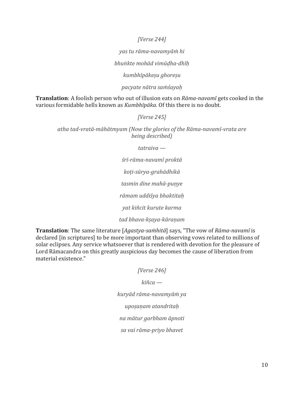*[Verse 244]*

*yas tu rāma-navamyāṁ hi*

*bhuṅkte mohād vimūḍha-dhīḥ*

*kumbhīpākeṣu ghoreṣu*

*pacyate nātra saṁśayaḥ*

**Translation**: A foolish person who out of illusion eats on *Rāma-navamī* gets cooked in the various formidable hells known as *Kumbhīpāka*. Of this there is no doubt.

*[Verse 245]*

*atha tad-vratā-māhātmyam (Now the glories of the Rāma-navamī-vrata are being described)*

*tatraiva —*

*śrī-rāma-navamī proktā koṭi-sūrya-grahādhikā tasmin dine mahā-puṇye rāmam uddiśya bhaktitaḥ yat kiñcit kurute karma tad bhava-kṣaya-kāraṇam*

**Translation**: The same literature [*Agastya-saṁhitā*] says, "The vow of *Rāma-navamī* is declared [in scriptures] to be more important than observing vows related to millions of solar eclipses. Any service whatsoever that is rendered with devotion for the pleasure of Lord Rāmacandra on this greatly auspicious day becomes the cause of liberation from material existence."

> *[Verse 246] kiñca kuryād rāma-navamyāṁ ya upoṣaṇam atandritaḥ na mātur garbham āpnoti sa vai rāma-priyo bhavet*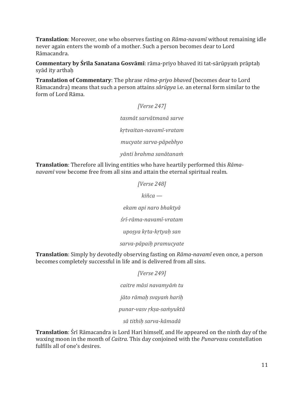**Translation**: Moreover, one who observes fasting on *Rāma-navamī* without remaining idle never again enters the womb of a mother. Such a person becomes dear to Lord Rāmacandra.

**Commentary by Śrīla Sanatana Gosvāmī**: rāma-priyo bhaved iti tat-sārūpyaṁ prāptaḥ syād ity arthah

**Translation of Commentary**: The phrase *rāma-priyo bhaved* (becomes dear to Lord Rāmacandra) means that such a person attains *sārūpya* i.e. an eternal form similar to the form of Lord Rāma.

### *[Verse 247]*

*tasmāt sarvātmanā sarve*

*kṛtvaitan-navamī-vratam*

*mucyate sarva-pāpebhyo*

*yānti brahma sanātanaṁ*

**Translation**: Therefore all living entities who have heartily performed this *Rāmanavamī* vow become free from all sins and attain the eternal spiritual realm.

*[Verse 248]*

*kiñca —*

*ekam api naro bhaktyā*

*śrī-rāma-navamī-vratam*

*upoṣya kṛta-kṛtyaḥ san*

#### *sarva-pāpaiḥ pramucyate*

**Translation**: Simply by devotedly observing fasting on *Rāma-navamī* even once, a person becomes completely successful in life and is delivered from all sins.

*[Verse 249]*

*caitre māsi navamyāṁ tu*

*jāto rāmaḥ svayaṁ hariḥ*

*punar-vasv ṛkṣa-saṁyuktā*

*sā tithiḥ sarva-kāmadā*

**Translation**: Śrī Rāmacandra is Lord Hari himself, and He appeared on the ninth day of the waxing moon in the month of *Caitra*. This day conjoined with the *Punarvasu* constellation fulfills all of one's desires.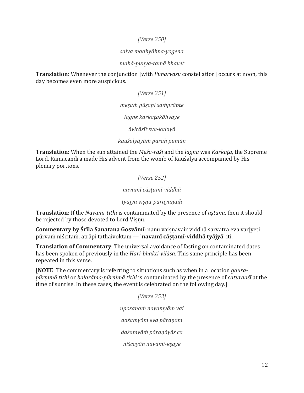#### *[Verse 250]*

#### *saiva madhyāhna-yogena*

#### *mahā-puṇya-tamā bhavet*

**Translation**: Whenever the conjunction [with *Punarvasu* constellation] occurs at noon, this day becomes even more auspicious.

#### *[Verse 251]*

#### *meṣaṁ pūṣaṇi saṁprāpte*

*lagne karkaṭakāhvaye*

*āvirāsīt sva-kalayā*

#### *kauśalyāyāṁ paraḥ pumān*

**Translation**: When the sun attained the *Meśa-rāśi* and the *lagna* was *Karkaṭa*, the Supreme Lord, Rāmacandra made His advent from the womb of Kauśalyā accompanied by His plenary portions.

#### *[Verse 252]*

#### *navamī cāṣṭamī-viddhā*

#### *tyājyā viṣṇu-parāyaṇaiḥ*

**Translation**: If the *Navamī-tithi* is contaminated by the presence of *aṣṭamī*, then it should be rejected by those devoted to Lord Visnu.

**Commentary by Śrīla Sanatana Gosvāmī**: nanu vaiṣṇavair viddhā sarvatra eva varjyeti pūrvaṁ niścitaṁ. atrāpi tathaivoktam — '**navamī cāṣṭamī-viddhā tyājyā**' iti.

**Translation of Commentary**: The universal avoidance of fasting on contaminated dates has been spoken of previously in the *Hari-bhakti-vilāsa*. This same principle has been repeated in this verse.

[**NOTE**: The commentary is referring to situations such as when in a location *gaurapūrṇimā tithi* or *balarāma-pūrṇimā tithi* is contaminated by the presence of *caturdaśī* at the time of sunrise. In these cases, the event is celebrated on the following day.]

> *[Verse 253] upoṣaṇaṁ navamyāṁ vai daśamyām eva pāraṇam daśamyāṁ pāraṇāyāś ca niścayān navamī-kṣaye*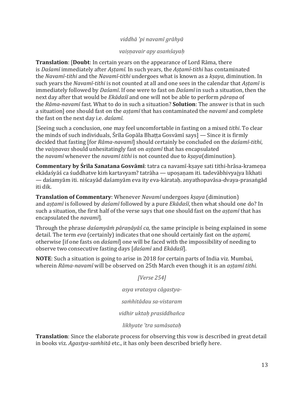#### *viddhā 'pi navamī grāhyā*

#### *vaiṣṇavair apy asaṁśayaḥ*

**Translation**: [**Doubt**: In certain years on the appearance of Lord Rāma, there is *Daśamī* immediately after *Aṣṭamī.* In such years, the *Aṣṭamī*-*tithi* has contaminated the *Navamī-tithi* and the *Navamī-tithi* undergoes what is known as a *kṣaya*, diminution. In such years the *Navamī-tithi* is not counted at all and one sees in the calendar that *Aṣṭamī* is immediately followed by *Daśamī*. If one were to fast on *Daśamī* in such a situation, then the next day after that would be *Ekādaśī* and one will not be able to perform *pāraṇa* of the *Rāma-navamī* fast. What to do in such a situation? **Solution**: The answer is that in such a situation] one should fast on the *aṣṭamī* that has contaminated the *navamī* and complete the fast on the next day i.e. *daśamī.*

[Seeing such a conclusion, one may feel uncomfortable in fasting on a mixed *tithi*. To clear the minds of such individuals, Śrīla Gopāla Bhaṭṭa Gosvāmī says] — Since it is firmly decided that fasting [for *Rāma-navamī*] should certainly be concluded on the *daśamī-tithi*, the *vaiṣṇavas* should unhesitatingly fast on *aṣṭamī* that has encapsulated the *navamī* whenever the *navamī tithi* is not counted due to *kṣaya*(diminution).

**Commentary by Śrīla Sanatana Gosvāmī**: tatra ca navamī-kṣaye sati tithi-hrāsa-krameṇa ekādaśyāś ca śuddhatve kiṁ kartavyam? tatrāha — upoṣaṇam iti. tadevābhivyajya likhati — daśamyām iti. niścayād daśamyām eva ity eva-kārataḥ. anyathopavāsa-dvaya-prasaṅgād iti dik.

**Translation of Commentary**: Whenever *Navamī* undergoes *kṣaya* (diminution) and *aṣṭamī* is followed by *daśamī* followed by a pure *Ekādaśī*, then what should one do? In such a situation, the first half of the verse says that one should fast on the *aṣṭamī* that has encapsulated the *navamī*].

Through the phrase *daśamyāṁ pāraṇāyāś ca,* the same principle is being explained in some detail. The term *eva* (certainly) indicates that one should certainly fast on the *aṣṭamī*, otherwise [if one fasts on *daśamī*] one will be faced with the impossibility of needing to observe two consecutive fasting days [*daśamī* and *Ekādaśī*].

**NOTE**: Such a situation is going to arise in 2018 for certain parts of India viz. Mumbai, wherein *Rāma-navamī* will be observed on 25th March even though it is an *aṣṭamī tithi*.

> *[Verse 254] asya vratasya cāgastyasaṁhitādau sa-vistaram vidhir uktaḥ prasiddhañca likhyate 'tra samāsataḥ*

**Translation**: Since the elaborate process for observing this vow is described in great detail in books viz. *Agastya-saṁhitā* etc., it has only been described briefly here.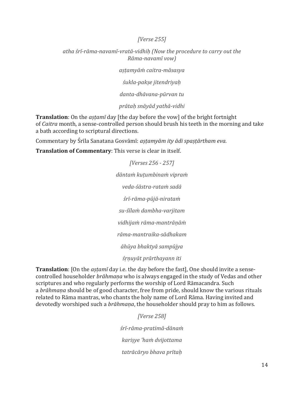#### *[Verse 255]*

*atha śrī-rāma-navamī-vratā-vidhiḥ (Now the procedure to carry out the Rāma-navamī vow)*

*aṣṭamyāṁ caitra-māsasya*

*śukla-pakṣe jitendriyaḥ*

*danta-dhāvana-pūrvan tu*

*prātaḥ snāyād yathā-vidhi*

**Translation**: On the *aṣṭamī* day [the day before the vow] of the bright fortnight of *Caitra* month, a sense-controlled person should brush his teeth in the morning and take a bath according to scriptural directions.

Commentary by Śrīla Sanatana Gosvāmī: *aṣṭamyām ity ādi spaṣṭārtham eva*.

**Translation of Commentary**: This verse is clear in itself.

*[Verses 256 - 257] dāntaṁ kuṭumbinaṁ vipraṁ veda-śāstra-rataṁ sadā śrī-rāma-pūjā-nirataṁ su-śīlaṁ dambha-varjitam vidhijaṁ rāma-mantrāṇāṁ rāma-mantraika-sādhakam āhūya bhaktyā sampūjya śṛṇuyāt prārthayann iti*

**Translation**: [On the *aṣṭamī* day i.e. the day before the fast], One should invite a sensecontrolled householder *brāhmaṇa* who is always engaged in the study of Vedas and other scriptures and who regularly performs the worship of Lord Rāmacandra. Such a *brāhmaṇa* should be of good character, free from pride, should know the various rituals related to Rāma mantras, who chants the holy name of Lord Rāma. Having invited and devotedly worshiped such a *brāhmaṇa*, the householder should pray to him as follows.

> *[Verse 258] śrī-rāma-pratimā-dānaṁ kariṣye 'haṁ dvijottama tatrācāryo bhava prītaḥ*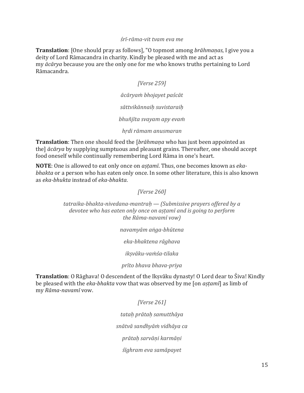#### *śrī-rāma-vit tvam eva me*

**Translation**: [One should pray as follows], "O topmost among *brāhmaṇas*, I give you a deity of Lord Rāmacandra in charity. Kindly be pleased with me and act as my *ācārya* because you are the only one for me who knows truths pertaining to Lord Rāmacandra.

*[Verse 259]*

*ācāryaṁ bhojayet paścāt sāttvikānnaiḥ suvistaraiḥ*

*bhuñjīta svayam apy evaṁ*

*hṛdi rāmam anusmaran*

**Translation**: Then one should feed the [*brāhmaṇa* who has just been appointed as the] *ācārya* by supplying sumptuous and pleasant grains. Thereafter, one should accept food oneself while continually remembering Lord Rāma in one's heart.

**NOTE**: One is allowed to eat only once on *aṣṭamī*. Thus, one becomes known as *ekabhakta* or a person who has eaten only once. In some other literature, this is also known as *eka-bhukta* instead of *eka-bhakta*.

*[Verse 260]*

*tatraika-bhakta-nivedana-mantraḥ — (Submissive prayers offered by a devotee who has eaten only once on aṣṭamī and is going to perform the Rāma-navamī vow)*

*navamyām aṅga-bhūtena*

*eka-bhaktena rāghava*

*ikṣvāku-vaṁśa-tilaka*

*prīto bhava bhava-priya*

**Translation**: O Rāghava! O descendent of the Ikṣvāku dynasty! O Lord dear to Śiva! Kindly be pleased with the *eka-bhakta* vow that was observed by me [on *aṣṭamī*] as limb of my *Rāma-navamī* vow.

*[Verse 261]*

*tataḥ prātaḥ samutthāya*

*snātvā sandhyāṁ vidhāya ca*

*prātaḥ sarvāṇi karmāṇi*

*śīghram eva samāpayet*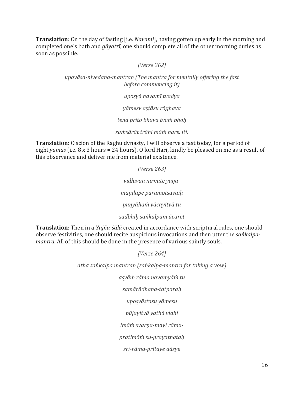**Translation**: On the day of fasting [i.e. *Navamī*], having gotten up early in the morning and completed one's bath and *gāyatrī*, one should complete all of the other morning duties as soon as possible.

#### *[Verse 262]*

*upavāsa-nivedana-mantraḥ (The mantra for mentally offering the fast before commencing it)*

*upoṣyā navamī tvadya*

*yāmeṣv aṣṭāsu rāghava*

*tena prito bhava tvaṁ bhoḥ*

*saṁsārāt trāhi māṁ hare. iti.*

**Translation**: O scion of the Raghu dynasty, I will observe a fast today, for a period of eight *yāmas* (i.e. 8 x 3 hours = 24 hours). O lord Hari, kindly be pleased on me as a result of this observance and deliver me from material existence.

> *[Verse 263] vidhivan nirmite yāgamaṇḍape paramotsavaiḥ puṇyāhaṁ vācayitvā tu*

*sadbhiḥ saṅkalpam ācaret*

**Translation**: Then in a *Yajña-śālā* created in accordance with scriptural rules, one should observe festivities, one should recite auspicious invocations and then utter the *saṅkalpamantra*. All of this should be done in the presence of various saintly souls.

*[Verse 264]*

*atha saṅkalpa mantraḥ (saṅkalpa-mantra for taking a vow)*

*asyāṁ rāma navamyāṁ tu*

*samārādhana-tatparaḥ*

*upoṣyāṣṭasu yāmeṣu*

*pūjayitvā yathā vidhi*

*imāṁ svarṇa-mayī rāma-*

*pratimāṁ su-prayatnataḥ*

*śrī-rāma-prītaye dāsye*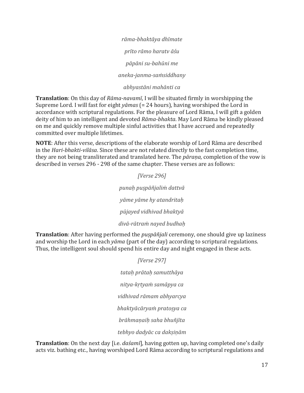*rāma-bhaktāya dhīmate prīto rāmo haratv āśu pāpāni su-bahūni me aneka-janma-saṁsiddhany abhyastāni mahānti ca*

**Translation**: On this day of *Rāma-navamī*, I will be situated firmly in worshipping the Supreme Lord. I will fast for eight *yāmas* (= 24 hours), having worshiped the Lord in accordance with scriptural regulations. For the pleasure of Lord Rāma, I will gift a golden deity of him to an intelligent and devoted *Rāma-bhakta*. May Lord Rāma be kindly pleased on me and quickly remove multiple sinful activities that I have accrued and repeatedly committed over multiple lifetimes.

**NOTE**: After this verse, descriptions of the elaborate worship of Lord Rāma are described in the *Hari-bhakti-vilāsa*. Since these are not related directly to the fast completion time, they are not being transliterated and translated here. The *pāraṇa,* completion of the vow is described in verses 296 - 298 of the same chapter. These verses are as follows:

> *[Verse 296] punaḥ puṣpāñjaliṁ dattvā yāme yāme hy atandritaḥ pūjayed vidhivad bhaktyā divā-rātraṁ nayed budhaḥ*

**Translation**: After having performed the *puṣpāñjali* ceremony, one should give up laziness and worship the Lord in each *yāma* (part of the day) according to scriptural regulations. Thus, the intelligent soul should spend his entire day and night engaged in these acts.

> *[Verse 297] tataḥ prātaḥ samutthāya nitya-kṛtyaṁ samāpya ca vidhivad rāmam abhyarcya bhaktyācāryaṁ pratoṣya ca brāhmaṇaiḥ saha bhuñjīta tebhyo dadyāc ca dakṣiṇām*

**Translation**: On the next day [i.e. *daśamī*], having gotten up, having completed one's daily acts viz. bathing etc., having worshiped Lord Rāma according to scriptural regulations and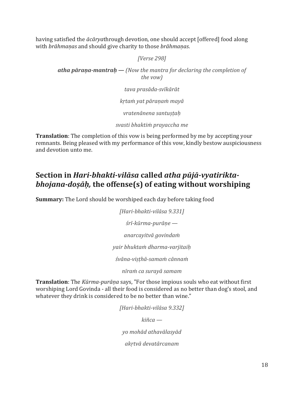having satisfied the *ācārya*through devotion, one should accept [offered] food along with *brāhmaṇas* and should give charity to those *brāhmaṇas*.

*[Verse 298]*

*atha pāraṇa-mantraḥ — (Now the mantra for declaring the completion of the vow)*

*tava prasāda-svīkārāt*

*kṛtaṁ yat pāraṇaṁ mayā*

*vratenānena santuṣṭaḥ*

*svasti bhaktiṁ prayaccha me*

**Translation**: The completion of this vow is being performed by me by accepting your remnants. Being pleased with my performance of this vow, kindly bestow auspiciousness and devotion unto me.

# <span id="page-17-0"></span>**Section in** *Hari-bhakti-vilāsa* **called** *atha pūjā-vyatiriktabhojana-doṣāḥ,* **the offense(s) of eating without worshiping**

**Summary:** The Lord should be worshiped each day before taking food

*[Hari-bhakti-vilāsa 9.331] śrī-kūrma-purāṇe anarcayitvā govindaṁ yair bhuktaṁ dharma-varjitaiḥ śvāna-viṣṭhā-samaṁ cānnaṁ*

*nīraṁ ca surayā samam*

**Translation**: The *Kūrma-purāṇa* says, "For those impious souls who eat without first worshiping Lord Govinda - all their food is considered as no better than dog's stool, and whatever they drink is considered to be no better than wine."

> *[Hari-bhakti-vilāsa 9.332] kiñca yo mohād athavālasyād akṛtvā devatārcanam*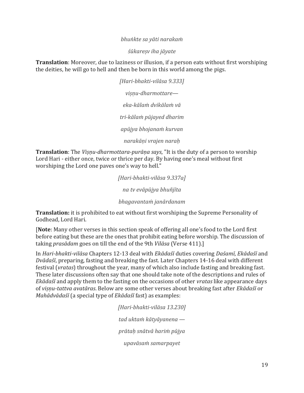#### *bhuṅkte sa yāti narakaṁ*

*śūkareṣv iha jāyate*

**Translation**: Moreover, due to laziness or illusion, if a person eats without first worshiping the deities, he will go to hell and then be born in this world among the pigs.

> *[Hari-bhakti-vilāsa 9.333] viṣṇu-dharmottare eka-kālaṁ dvikālaṁ vā tri-kālaṁ pūjayed dharim apūjya bhojanaṁ kurvan narakāṇi vrajen naraḥ*

**Translation**: The *Viṣṇu-dharmottara-purāṇa says*, "It is the duty of a person to worship Lord Hari - either once, twice or thrice per day. By having one's meal without first worshiping the Lord one paves one's way to hell."

> *[Hari-bhakti-vilāsa 9.337a] na tv evāpūjya bhuñjīta bhagavantaṁ janārdanam*

**Translation:** it is prohibited to eat without first worshiping the Supreme Personality of Godhead, Lord Hari.

[**Note**: Many other verses in this section speak of offering all one's food to the Lord first before eating but these are the ones that prohibit eating before worship. The discussion of taking *prasādam* goes on till the end of the 9th *Vilāsa* (Verse 411).]

In *Hari-bhakti-vilāsa* Chapters 12-13 deal with *Ekādaśī* duties covering *Daśamī*, *Ekādaśī* and *Dvādaśī*, preparing, fasting and breaking the fast. Later Chapters 14-16 deal with different festival (*vratas*) throughout the year, many of which also include fasting and breaking fast. These later discussions often say that one should take note of the descriptions and rules of *Ekādaśī* and apply them to the fasting on the occasions of other *vratas* like appearance days of *viṣṇu-tattva avatāras*. Below are some other verses about breaking fast after *Ekādaśī* or *Mahādvādaśī* (a special type of *Ekādaśī* fast) as examples:

> *[Hari-bhakti-vilāsa 13.230] tad uktaṁ kātyāyanena prātaḥ snātvā hariṁ pūjya upavāsaṁ samarpayet*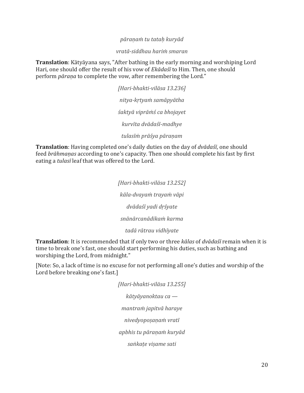#### *pāraṇaṁ tu tataḥ kuryād*

*vratā-siddhau hariṁ smaran*

**Translation**: Kātyāyana says, "After bathing in the early morning and worshiping Lord Hari, one should offer the result of his vow of *Ekādaśī* to Him. Then, one should perform *pāraṇa* to complete the vow, after remembering the Lord."

> *[Hari-bhakti-vilāsa 13.236] nitya-kṛtyaṁ samāpyātha śaktyā viprāṁś ca bhojayet kurvīta dvādaśī-madhye tulasīṁ prāśya pāraṇam*

**Translation**: Having completed one's daily duties on the day of *dvādaśī*, one should feed *brāhmaṇas* according to one's capacity. Then one should complete his fast by first eating a *tulasī* leaf that was offered to the Lord.

> *[Hari-bhakti-vilāsa 13.252] kāla-dvayaṁ trayaṁ vāpi dvādaśī yadi dṛśyate snānārcanādikaṁ karma tadā rātrau vidhīyate*

**Translation**: It is recommended that if only two or three *kālas* of *dvādaśī* remain when it is time to break one's fast, one should start performing his duties, such as bathing and worshiping the Lord, from midnight."

[Note: So, a lack of time is no excuse for not performing all one's duties and worship of the Lord before breaking one's fast.]

> *[Hari-bhakti-vilāsa 13.255] kātyāyanoktau ca mantraṁ japitvā haraye nivedyopoṣaṇaṁ vratī apbhis tu pāraṇaṁ kuryād saṅkaṭe viṣame sati*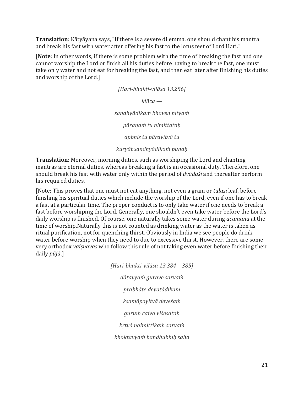**Translation**: Kātyāyana says, "If there is a severe dilemma, one should chant his mantra and break his fast with water after offering his fast to the lotus feet of Lord Hari."

[**Note**: In other words, if there is some problem with the time of breaking the fast and one cannot worship the Lord or finish all his duties before having to break the fast, one must take only water and not eat for breaking the fast, and then eat later after finishing his duties and worship of the Lord.]

> *[Hari-bhakti-vilāsa 13.256] kiñca sandhyādikaṁ bhaven nityaṁ pāraṇaṁ tu nimittataḥ apbhis tu pārayitvā tu kuryāt sandhyādikaṁ punaḥ*

**Translation**: Moreover, morning duties, such as worshiping the Lord and chanting mantras are eternal duties, whereas breaking a fast is an occasional duty. Therefore, one should break his fast with water only within the period of *dvādaśī* and thereafter perform his required duties.

[Note: This proves that one must not eat anything, not even a grain or *tulasī* leaf, before finishing his spiritual duties which include the worship of the Lord, even if one has to break a fast at a particular time. The proper conduct is to only take water if one needs to break a fast before worshiping the Lord. Generally, one shouldn't even take water before the Lord's daily worship is finished. Of course, one naturally takes some water during *ācamana* at the time of worship.Naturally this is not counted as drinking water as the water is taken as ritual purification, not for quenching thirst. Obviously in India we see people do drink water before worship when they need to due to excessive thirst. However, there are some very orthodox *vaiṣṇavas* who follow this rule of not taking even water before finishing their daily *pūjā*.]

> *[Hari-bhakti-vilāsa 13.384 – 385] dātavyaṁ gurave sarvaṁ prabhāte devatādikam kṣamāpayitvā deveśaṁ guruṁ caiva viśeṣataḥ kṛtvā naimittikaṁ sarvaṁ bhoktavyaṁ bandhubhiḥ saha*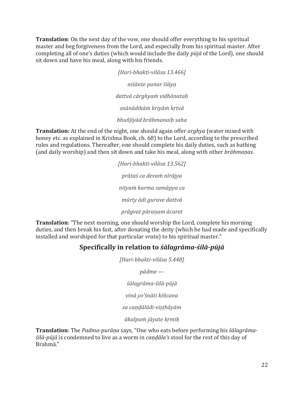**Translation**: On the next day of the vow, one should offer everything to his spiritual master and beg forgiveness from the Lord, and especially from his spiritual master. After completing all of one's duties (which would include the daily *pūjā* of the Lord), one should sit down and have his meal, along with his friends.

> *[Hari-bhakti-vilāsa 13.466] niśānte punar īśāya dattvā cārghyaṁ vidhānataḥ snānādikāṁ kriyāṁ kṛtvā bhuñjīyād brāhmanaiḥ saha*

**Translation:** At the end of the night, one should again offer *arghya* (water mixed with honey etc. as explained in Krishna Book, ch. 68) to the Lord, according to the prescribed rules and regulations. Thereafter, one should complete his daily duties, such as bathing (and daily worship) and then sit down and take his meal, along with other *brāhmaṇas*.

> *[Hari-bhakti-vilāsa 13.562] prātaś ca devaṁ nīrājya nityaṁ karma samāpya ca mūrty ādi gurave dattvā prāgvat pāraṇam ācaret*

<span id="page-21-0"></span>**Translation**: "The next morning, one should worship the Lord, complete his morning duties, and then break his fast, after donating the deity (which he had made and specifically installed and worshiped for that particular *vrata*) to his spiritual master."

### **Specifically in relation to** *śālagrāma-śilā-pūjā*

*[Hari-bhakti-vilāsa 5.448]*

*pādme —*

*śālagrāma-śilā-pūjā*

*vinā yo'śnāti kiñcana*

*sa caṇḍālādi-viṣṭhāyām*

*ākalpaṁ jāyate kṛmiḥ*

**Translation**: The *Padma-purāṇa* says, "One who eats before performing his *śālagrāmaśilā-pūjā* is condemned to live as a worm in *caṇḍāla's* stool for the rest of this day of Brahmā."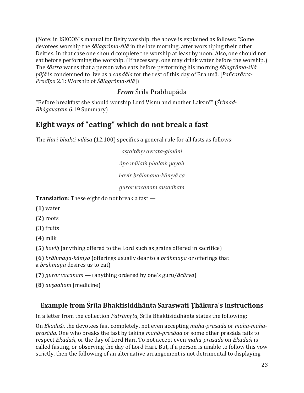(Note: in ISKCON's manual for Deity worship, the above is explained as follows: "Some devotees worship the *śālagrāma-śilā* in the late morning, after worshiping their other Deities. In that case one should complete the worship at least by noon. Also, one should not eat before performing the worship. (If necessary, one may drink water before the worship.) The *śāstra* warns that a person who eats before performing his morning *śālagrāma-śilā pūjā* is condemned to live as a *caṇḍāla* for the rest of this day of Brahmā. [*Pañcarātra-Pradīpa* 2.1: Worship of *Śālagrāma-śilā*])

# *From* Śrīla Prabhupāda

<span id="page-22-0"></span>"Before breakfast she should worship Lord Viṣṇu and mother Laksmī" (Śrīmad-*Bhāgavatam* 6.19 Summary)

# <span id="page-22-1"></span>**Eight ways of "eating" which do not break a fast**

The *Hari-bhakti-vilāsa* (12.100) specifies a general rule for all fasts as follows:

*aṣṭaitāny avrata-ghnāni āpo mūlaṁ phalaṁ payaḥ*

*havir brāhmaṇa-kāmyā ca*

*guror vacanam auṣadham*

**Translation**: These eight do not break a fast —

**(1)** water

**(2)** roots

**(3)** fruits

**(4)** milk

**(5)** *haviḥ* (anything offered to the Lord such as grains offered in sacrifice)

**(6)** *brāhmaṇa-kāmya* (offerings usually dear to a *brāhmaṇa* or offerings that a *brāhmaṇa* desires us to eat)

**(7)** *guror vacanam* — (anything ordered by one's guru/*ācārya*)

**(8)** *auṣadham* (medicine)

# <span id="page-22-2"></span>**Example from Śrīla Bhaktisiddhānta Saraswati Ṭhākura's instructions**

In a letter from the collection *Patrāmṛta*, Śrīla Bhaktisiddhānta states the following:

On *Ekādaśī*, the devotees fast completely, not even accepting *mahā-prasāda* or *mahā-mahāprasāda*. One who breaks the fast by taking *mahā-prasāda* or some other prasāda fails to respect *Ekādaśī*, or the day of Lord Hari. To not accept even *mahā-prasāda* on *Ekādaśī* is called fasting, or observing the day of Lord Hari. But, if a person is unable to follow this vow strictly, then the following of an alternative arrangement is not detrimental to displaying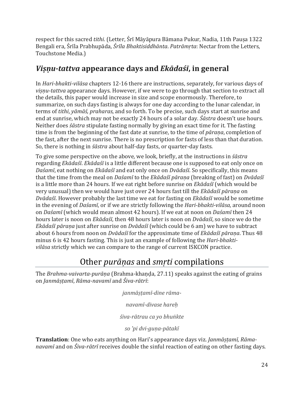respect for this sacred *tithi*. (Letter, Śrī Māyāpura Bāmana Pukur, Nadia, 11th Pauṣa 1322 Bengali era, Śrīla Prabhupāda, *Śrīla Bhaktisiddhānta*. *Patrāmṛta*: Nectar from the Letters, Touchstone Media.)

# <span id="page-23-0"></span>*Viṣṇu-tattva* **appearance days and** *Ekādaśī***, in general**

In *Hari-bhakti-vilāsa* chapters 12-16 there are instructions, separately, for various days of *viṣṇu-tattva* appearance days. However, if we were to go through that section to extract all the details, this paper would increase in size and scope enormously. Therefore, to summarize, on such days fasting is always for one day according to the lunar calendar, in terms of *tithi*, *yāmāś, praharas*, and so forth. To be precise, such days start at sunrise and end at sunrise, which may not be exactly 24 hours of a solar day. *Śāstra* doesn't use hours. Neither does *śāstra* stipulate fasting normally by giving an exact time for it. The fasting time is from the beginning of the fast date at sunrise, to the time of *pāraṇa*, completion of the fast, after the next sunrise. There is no prescription for fasts of less than that duration. So, there is nothing in *śāstra* about half-day fasts, or quarter-day fasts.

To give some perspective on the above*,* we look, briefly, at the instructions in *śāstra* regarding *Ekādaśī*. *Ekādaśī* is a little different because one is supposed to eat only once on *Daśamī*, eat nothing on *Ekādaśī* and eat only once on *Dvādaśī*. So specifically, this means that the time from the meal on *Daśamī* to the *Ekādaśī pāraṇa* (breaking of fast) on *Dvādaśī* is a little more than 24 hours. If we eat right before sunrise on *Ekādaśī* (which would be very unusual) then we would have just over 24 hours fast till the *Ekādaśī pāraṇa* on *Dvādaśī*. However probably the last time we eat for fasting on *Ekādaśī* would be sometime in the evening of *Daśamī*, or if we are strictly following the *Hari-bhakti-vilāsa,* around noon on *Daśamī* (which would mean almost 42 hours). If we eat at noon on *Daśamī* then 24 hours later is noon on *Ekādaśī*, then 48 hours later is noon on *Dvādaśī*, so since we do the *Ekādaśī pāraṇa* just after sunrise on *Dvādaśī* (which could be 6 am) we have to subtract about 6 hours from noon on *Dvādaśī* for the approximate time of *Ekādaśī pāraṇa*. Thus 48 minus 6 is 42 hours fasting. This is just an example of following the *Hari-bhaktivilāsa* strictly which we can compare to the range of current ISKCON practice.

# Other *purāṇas* and *smṛti* compilations

<span id="page-23-1"></span>The *Brahma-vaivarta-purāṇa* (Brahma-khaṇḍa, 27.11) speaks against the eating of grains on *Janmāṣṭamī*, *Rāma-navamī* and *Śiva-rātrī*:

*janmāṣṭamī-dine rāma-*

*navamī-divase hareḥ*

*śiva-rātrau ca yo bhuṅkte*

*so 'pi dvi-guṇa-pātakī*

**Translation**: One who eats anything on Hari's appearance days viz. *Janmāṣṭamī, Rāmanavamī* and on *Śiva-rātrī* receives double the sinful reaction of eating on other fasting days.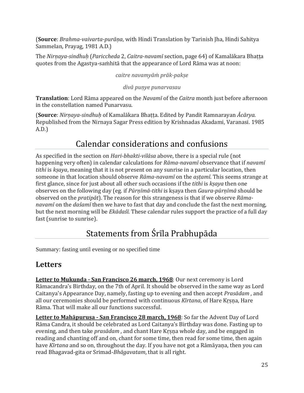(**Source**: *Brahma-vaivarta-purāṇa*, with Hindi Translation by Tarinish Jha, Hindi Sahitya Sammelan, Prayag, 1981 A.D.)

The *Nirṇaya-sindhuḥ* (*Pariccheda* 2, *Caitra-navamī* section, page 64) of Kamalākara Bhaṭṭa quotes from the Agastya-saṁhitā that the appearance of Lord Rāma was at noon:

#### *caitre navamyāṁ prāk-pakṣe*

#### *divā puṇye punarvasau*

**Translation**: Lord Rāma appeared on the *Navamī* of the *Caitra* month just before afternoon in the constellation named Punarvasu.

(**Source**: *Nirṇaya-sindhuḥ* of Kamalākara Bhaṭṭa. Edited by Pandit Ramnarayan *Ācārya*. Republished from the Nirnaya Sagar Press edition by Krishnadas Akadami, Varanasi. 1985 A.D.)

# Calendar considerations and confusions

<span id="page-24-0"></span>As specified in the section on *Hari-bhakti-vilāsa* above, there is a special rule (not happening very often) in calendar calculations for *Rāma-navamī* observance that if *navamī tithi* is *kṣaya*, meaning that it is not present on any sunrise in a particular location, then someone in that location should observe *Rāma-navamī* on the *aṣṭamī*. This seems strange at first glance, since for just about all other such occasions if the *tithi* is *kṣaya* then one observes on the following day (eg. if *Pūrṇīmā-tithi* is kṣaya then *Gaura-pūrṇīmā* should be observed on the *pratipāt*). The reason for this strangeness is that if we observe *Rāmanavamī* on the *daśamī* then we have to fast that day and conclude the fast the next morning, but the next morning will be *Ekādaśī*. These calendar rules support the practice of a full day fast (sunrise to sunrise).

# Statements from Śrīla Prabhupāda

<span id="page-24-1"></span>Summary: fasting until evening or no specified time

# <span id="page-24-2"></span>**Letters**

**Letter to Mukunda - San Francisco 26 march, 1968**: Our next ceremony is Lord Rāmacandra's Birthday, on the 7th of April. It should be observed in the same way as Lord Caitanya's Appearance Day, namely, fasting up to evening and then accept *Prasādam* , and all our ceremonies should be performed with continuous *Kīrtana*, of Hare Krsna, Hare Rāma. That will make all our functions successful.

**Letter to Mahāpuruṣa - San Francisco 28 march, 1968**: So far the Advent Day of Lord Rāma Candra, it should be celebrated as Lord Caitanya's Birthday was done. Fasting up to evening, and then take *prasādam* , and chant Hare Kṛṣṇa whole day, and be engaged in reading and chanting off and on, chant for some time, then read for some time, then again have *Kīrtana* and so on, throughout the day. If you have not got a Rāmāyaṇa, then you can read Bhagavad-gita or Srimad-*Bhāgavatam*, that is all right.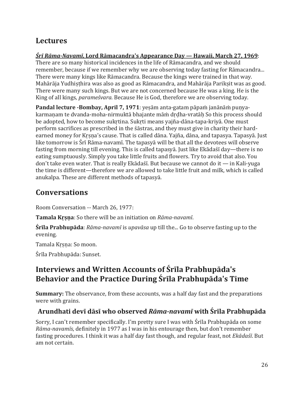# <span id="page-25-0"></span>**Lectures**

### *Śrī Rāma-Navamī***, Lord Rāmacandra's Appearance Day — Hawaii, March 27, 1969**:

There are so many historical incidences in the life of Rāmacandra, and we should remember, because if we remember why we are observing today fasting for Rāmacandra... There were many kings like Rāmacandra. Because the kings were trained in that way. Mahārāja Yudhiṣṭhira was also as good as Rāmacandra, and Mahārāja Parikṣit was as good. There were many such kings. But we are not concerned because He was a king. He is the King of all kings, *parameśvara*. Because He is God, therefore we are observing today.

**Pandal lecture -Bombay, April 7, 1971**: yeṣām anta-gatam pāpaṁ janānāṁ puṇyakarmaṇam te dvanda-moha-nirmuktā bhajante māṁ dṛḍha-vratāḥ So this process should be adopted, how to become sukṛtina. Sukṛti means yajña-dāna-tapa-kriyā. One must perform sacrifices as prescribed in the śāstras, and they must give in charity their hardearned money for Kṛṣṇa's cause. That is called dāna. Yajña, dāna, and tapasya. Tapasyā. Just like tomorrow is Śrī Rāma-navamī. The tapasyā will be that all the devotees will observe fasting from morning till evening. This is called tapasyā. Just like Ekādaśī day—there is no eating sumptuously. Simply you take little fruits and flowers. Try to avoid that also. You don't take even water. That is really Ekādaśī. But because we cannot do it — in Kali-yuga the time is different—therefore we are allowed to take little fruit and milk, which is called anukalpa. These are different methods of tapasyā.

# <span id="page-25-1"></span>**Conversations**

Room Conversation -- March 26, 1977:

**Tamala Kṛṣṇa**: So there will be an initiation on *Rāma-navamī*.

**Śrīla Prabhupāda**: *Rāma-navamī* is *upavāsa* up till the... Go to observe fasting up to the evening.

Tamala Kṛṣṇa: So moon.

Śrīla Prabhupāda: Sunset.

# <span id="page-25-2"></span>**Interviews and Written Accounts of Śrīla Prabhupāda's Behavior and the Practice During Śrīla Prabhupāda's Time**

**Summary:** The observance, from these accounts, was a half day fast and the preparations were with grains.

# <span id="page-25-3"></span>**Arundhati devī dāsī who observed** *Rāma-navamī* **with Śrīla Prabhupāda**

Sorry, I can't remember specifically. I'm pretty sure I was with Śrīla Prabhupāda on some *Rāma-navamīs*, definitely in 1977 as I was in his entourage then, but don't remember fasting procedures. I think it was a half day fast though, and regular feast, not *Ekādaśī*. But am not certain.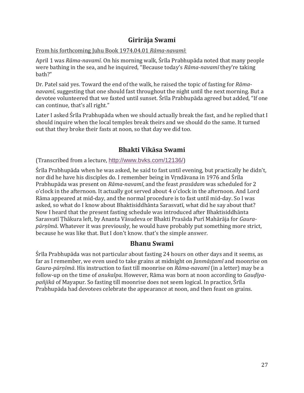### **Girirāja Swami**

#### <span id="page-26-0"></span>From his forthcoming Juhu Book 1974.04.01 *Rāma-navamī*:

April 1 was *Rāma-navamī*. On his morning walk, Śrīla Prabhupāda noted that many people were bathing in the sea, and he inquired, "Because today's *Rāma-navamī* they're taking bath?"

Dr. Patel said yes. Toward the end of the walk, he raised the topic of fasting for *Rāmanavamī*, suggesting that one should fast throughout the night until the next morning. But a devotee volunteered that we fasted until sunset. Śrīla Prabhupāda agreed but added, "If one can continue, that's all right."

Later I asked Śrīla Prabhupāda when we should actually break the fast, and he replied that I should inquire when the local temples break theirs and we should do the same. It turned out that they broke their fasts at noon, so that day we did too.

### **Bhakti Vikāsa Swami**

<span id="page-26-1"></span>(Transcribed from a lecture, <http://www.bvks.com/12136/>)

Śrīla Prabhupāda when he was asked, he said to fast until evening, but practically he didn't, nor did he have his disciples do. I remember being in Vṛndāvana in 1976 and Śrīla Prabhupāda was present on *Rāma-navamī*, and the feast *prasādam* was scheduled for 2 o'clock in the afternoon. It actually got served about 4 o'clock in the afternoon. And Lord Rāma appeared at mid-day, and the normal procedure is to fast until mid-day. So I was asked, so what do I know about Bhaktisiddhānta Sarasvatī, what did he say about that? Now I heard that the present fasting schedule was introduced after Bhaktisiddhānta Sarasvatī Ṭhākura left, by Ananta Vāsudeva or Bhakti Prasāda Purī Mahārāja for *Gaurapūrṇīmā*. Whatever it was previously, he would have probably put something more strict, because he was like that. But I don't know. that's the simple answer.

### **Bhanu Swami**

<span id="page-26-2"></span>Śrīla Prabhupāda was not particular about fasting 24 hours on other days and it seems, as far as I remember, we even used to take grains at midnight on *Janmāṣṭamī* and moonrise on *Gaura-pūrṇīmā*. His instruction to fast till moonrise on *Rāma-navamī* (in a letter) may be a follow-up on the time of *anukalpa*. However, Rāma was born at noon according to *Gauḍīyapañjikā* of Mayapur. So fasting till moonrise does not seem logical. In practice, Śrīla Prabhupāda had devotees celebrate the appearance at noon, and then feast on grains.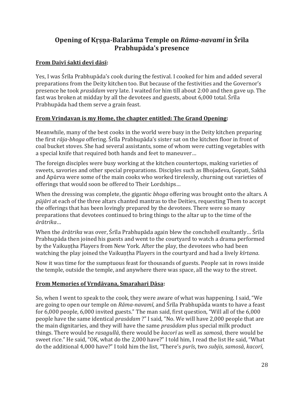### <span id="page-27-0"></span>**Opening of Kṛṣṇa-Balarāma Temple on** *Rāma-navamī* **in Śrīla Prabhupāda's presence**

#### **From Daivī śakti devī dāsī:**

Yes, I was Śrīla Prabhupāda's cook during the festival. I cooked for him and added several preparations from the Deity kitchen too. But because of the festivities and the Governor's presence he took *prasādam* very late. I waited for him till about 2:00 and then gave up. The fast was broken at midday by all the devotees and guests, about 6,000 total. Śrīla Prabhupāda had them serve a grain feast.

#### **From Vrindavan is my Home, the chapter entitled: The Grand Opening:**

Meanwhile, many of the best cooks in the world were busy in the Deity kitchen preparing the first *rāja-bhoga* offering. Śrīla Prabhupāda's sister sat on the kitchen floor in front of coal bucket stoves. She had several assistants, some of whom were cutting vegetables with a special knife that required both hands and feet to maneuver…

The foreign disciples were busy working at the kitchen countertops, making varieties of sweets, savories and other special preparations. Disciples such as Bhojadeva, Gopati, Sakhā and Apūrva were some of the main cooks who worked tirelessly, churning out varieties of offerings that would soon be offered to Their Lordships…

When the dressing was complete, the gigantic *bhoga* offering was brought onto the altars. A *pūjāri* at each of the three altars chanted mantras to the Deities, requesting Them to accept the offerings that has been lovingly prepared by the devotees. There were so many preparations that devotees continued to bring things to the altar up to the time of the *ārātrika*…

When the *ārātrika* was over, Śrīla Prabhupāda again blew the conchshell exultantly… Śrīla Prabhupāda then joined his guests and went to the courtyard to watch a drama performed by the Vaikuntha Players from New York. After the play, the devotees who had been watching the play joined the Vaikuntha Players in the courtyard and had a lively *kīrtana*.

Now it was time for the sumptuous feast for thousands of guests. People sat in rows inside the temple, outside the temple, and anywhere there was space, all the way to the street.

#### **From Memories of Vṛndāvana, Smarahari Dāsa:**

So, when I went to speak to the cook, they were aware of what was happening. I said, "We are going to open our temple on *Rāma-navamī*, and Śrīla Prabhupāda wants to have a feast for 6,000 people, 6,000 invited guests." The man said, first question, "Will all of the 6,000 people have the same identical *prasādam* ?" I said, "No. We will have 2,000 people that are the main dignitaries, and they will have the same *prasādam* plus special milk product things. There would be *rasagullā*, there would be *kacorī* as well as *samosā*, there would be sweet rice." He said, "OK, what do the 2,000 have?" I told him, I read the list He said, "What do the additional 4,000 have?" I told him the list, "There's *purīs*, two *subjis*, *samosā*, *kacorī*,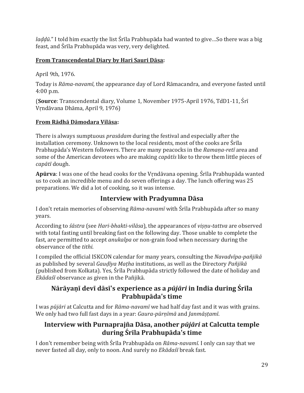*laḍḍū*." I told him exactly the list Śrīla Prabhupāda had wanted to give…So there was a big feast, and Śrīla Prabhupāda was very, very delighted.

### **From Transcendental Diary by Hari Sauri Dāsa:**

April 9th, 1976.

Today is *Rāma-navamī*, the appearance day of Lord Rāmacandra, and everyone fasted until 4:00 p.m.

(**Source**: Transcendental diary, Volume 1, November 1975-April 1976, TdD1-11, Śrī Vṛndāvana Dhāma, April 9, 1976)

### **From Rādhā Dāmodara Vilāsa:**

There is always sumptuous *prasādam* during the festival and especially after the installation ceremony. Unknown to the local residents, most of the cooks are Śrīla Prabhupāda's Western followers. There are many peacocks in the *Ramaṇa-retī* area and some of the American devotees who are making *capātīs* like to throw them little pieces of *capātī* dough.

**Apūrva**: I was one of the head cooks for the Vṛndāvana opening. Śrīla Prabhupāda wanted us to cook an incredible menu and do seven offerings a day. The lunch offering was 25 preparations. We did a lot of cooking, so it was intense.

### **Interview with Pradyumna Dāsa**

<span id="page-28-0"></span>I don't retain memories of observing *Rāma-navamī* with Śrīla Prabhupāda after so many years.

According to *śāstra* (see *Hari-bhakti-vilāsa*), the appearances of *viṣṇu-tattva* are observed with total fasting until breaking fast on the following day. Those unable to complete the fast, are permitted to accept *anukalpa* or non-grain food when necessary during the observance of the *tithi*.

I compiled the official ISKCON calendar for many years, consulting the *Navadvīpa-pañjikā* as published by several *Gauḍīya Maṭha* institutions, as well as the Directory *Pañjikā* (published from Kolkata). Yes, Śrīla Prabhupāda strictly followed the date of holiday and *Ekādaśī* observance as given in the Pañjikā.

### <span id="page-28-1"></span>**Nārāyaṇī devī dāsī's experience as a** *pūjāri* **in India during Śrīla Prabhupāda's time**

I was *pūjāri* at Calcutta and for *Rāma-navamī* we had half day fast and it was with grains. We only had two full fast days in a year: *Gaura-pūrṇīmā* and *Janmāṣṭamī*.

### <span id="page-28-2"></span>**Interview with Purnaprajña Dāsa, another** *pūjāri* **at Calcutta temple during Śrīla Prabhupāda's time**

I don't remember being with Śrīla Prabhupāda on *Rāma-navamī*. I only can say that we never fasted all day, only to noon. And surely no *Ekādaśī* break fast.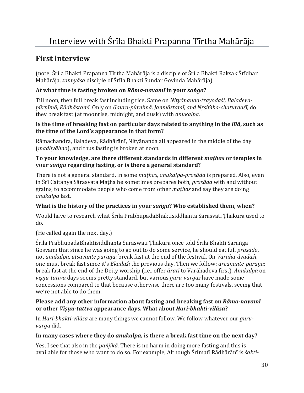# <span id="page-29-1"></span><span id="page-29-0"></span>**First interview**

(note: Śrīla Bhakti Prapanna Tīrtha Mahārāja is a disciple of Śrīla Bhakti Rakṣak Śrīdhar Mahārāja, *sannyāsa* disciple of Śrīla Bhakti Sundar Govinda Mahārāja)

### **At what time is fasting broken on** *Rāma-navamī* **in your** *saṅga***?**

Till noon, then full break fast including rice. Same on *Nityānanda-trayodaśī, Baladevapūrṇīmā, Rādhāṣṭamī*. Only on *Gaura-pūrṇīmā, Janmāṣṭamī, and Nṛsiṁha-chaturdaśī*, do they break fast (at moonrise, midnight, and dusk) with *anukalpa*.

#### **Is the time of breaking fast on particular days related to anything in the** *līlā***, such as the time of the Lord's appearance in that form?**

Rāmachandra, Baladeva, Rādhārānī, Nityānanda all appeared in the middle of the day (*madhyāhna*), and thus fasting is broken at noon.

#### **To your knowledge, are there different standards in different** *maṭhas* **or temples in your** *saṅga* **regarding fasting, or is there a general standard?**

There is not a general standard, in some *maṭhas*, *anukalpa-prasāda* is prepared. Also, even in Śrī Caitanya Sārasvata Maṭha he sometimes prepares both, *prasāda* with and without grains, to accommodate people who come from other *maṭhas* and say they are doing *anukalpa* fast.

### **What is the history of the practices in your** *saṅga***? Who established them, when?**

Would have to research what Śrīla PrabhupādaBhaktisiddhānta Sarasvatī Ṭhākura used to do.

(He called again the next day.)

Śrīla PrabhupādaBhaktisiddhānta Saraswatī Ṭhākura once told Śrīla Bhakti Saraṅga Gosvāmī that since he was going to go out to do some service, he should eat full *prasāda*, not *anukalpa*. *utsavānte pāraṇa*: break fast at the end of the festival. On *Varāha-dvādaśī*, one must break fast since it's *Ekādaśī* the previous day. Then we follow: *arcanānte-pāraṇa*: break fast at the end of the Deity worship (i.e., offer *āratī* to Varāhadeva first). *Anukalpa* on *viṣṇu-tattva* days seems pretty standard, but various *guru-vargas* have made some concessions compared to that because otherwise there are too many festivals, seeing that we're not able to do them.

#### **Please add any other information about fasting and breaking fast on** *Rāma-navamī* **or other** *Viṣṇu-tattva* **appearance days. What about** *Hari-bhakti-vilāsa***?**

In *Hari-bhakti-vilāsa* are many things we cannot follow. We follow whatever our *guruvarga* did.

### **In many cases where they do** *anukalpa***, is there a break fast time on the next day?**

Yes, I see that also in the *pañjikā*. There is no harm in doing more fasting and this is available for those who want to do so. For example, Although Śrīmatī Rādhārānī is *śakti-*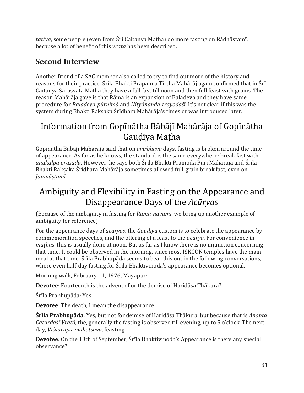*tattva*, some people (even from Śrī Caitanya Maṭha) do more fasting on Rādhāṣṭamī, because a lot of benefit of this *vrata* has been described.

# <span id="page-30-0"></span>**Second Interview**

Another friend of a SAC member also called to try to find out more of the history and reasons for their practice. Śrīla Bhakti Prapanna Tīrtha Mahārāj again confirmed that in Śrī Caitanya Sarasvata Maṭha they have a full fast till noon and then full feast with grains. The reason Mahārāja gave is that Rāma is an expansion of Baladeva and they have same procedure for *Baladeva-pūrṇīmā* and *Nityānanda-trayodaśī*. It's not clear if this was the system during Bhakti Raksaka Śrīdhara Mahārāja's times or was introduced later.

# <span id="page-30-1"></span>Information from Gopīnātha Bābājī Mahārāja of Gopīnātha Gauḍīya Maṭha

Gopīnātha Bābājī Mahārāja said that on *āvirbhāva* days, fasting is broken around the time of appearance. As far as he knows, the standard is the same everywhere: break fast with *anukalpa prasāda*. However, he says both Śrīla Bhakti Pramoda Purī Mahārāja and Śrīla Bhakti Rakṣaka Śrīdhara Mahārāja sometimes allowed full-grain break fast, even on *Janmāṣṭamī*.

# <span id="page-30-2"></span>Ambiguity and Flexibility in Fasting on the Appearance and Disappearance Days of the *Ācāryas*

(Because of the ambiguity in fasting for *Rāma-navamī*, we bring up another example of ambiguity for reference)

For the appearance days of *ācāryas*, the *Gauḍīya* custom is to celebrate the appearance by commemoration speeches, and the offering of a feast to the *ācārya*. For convenience in *maṭhas*, this is usually done at noon. But as far as I know there is no injunction concerning that time. It could be observed in the morning, since most ISKCON temples have the main meal at that time. Śrīla Prabhupāda seems to bear this out in the following conversations, where even half-day fasting for Śrīla Bhaktivinoda's appearance becomes optional.

Morning walk, February 11, 1976, Mayapur:

**Devotee**: Fourteenth is the advent of or the demise of Haridāsa Ṭhākura?

Śrīla Prabhupāda: Yes

**Devotee**: The death, I mean the disappearance

**Śrīla Prabhupāda**: Yes, but not for demise of Haridāsa Ṭhākura, but because that is *Ananta Caturdaśī Vratā*, the, generally the fasting is observed till evening, up to 5 o'clock. The next day, *Viśvarūpa-mahotsava*, feasting.

**Devotee**: On the 13th of September, Śrīla Bhaktivinoda's Appearance is there any special observance?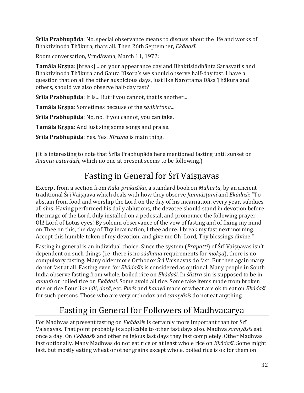**Śrīla Prabhupāda**: No, special observance means to discuss about the life and works of Bhaktivinoda Ṭhākura, thats all. Then 26th September, *Ekādaśī*.

Room conversation, Vṛndāvana, March 11, 1972:

**Tamāla Kṛṣṇa**: [break] ...on your appearance day and Bhaktisiddhānta Sarasvatī's and Bhaktivinoda Ṭhākura and Gaura Kiśora's we should observe half-day fast. I have a question that on all the other auspicious days, just like Narottama Dāsa Ṭhākura and others, should we also observe half-day fast?

**Śrīla Prabhupāda**: It is... But if you cannot, that is another...

**Tamāla Kṛṣṇa**: Sometimes because of the *saṅkīrtana*...

**Śrīla Prabhupāda**: No, no. If you cannot, you can take.

**Tamāla Kṛṣṇa**: And just sing some songs and praise.

**Śrīla Prabhupāda**: Yes. Yes. *Kīrtana* is main thing.

<span id="page-31-0"></span>(It is interesting to note that Śrīla Prabhupāda here mentioned fasting until sunset on *Ananta-caturdaśī*, which no one at present seems to be following.)

# Fasting in General for Śrī Vaisnavas

Excerpt from a section from *Kāla-prakāśikā*, a standard book on *Muhūrta*, by an ancient traditional Śrī Vaiṣṇava which deals with how they observe *Janmāṣṭamī* and *Ekādaśī*: "To abstain from food and worship the Lord on the day of his incarnation, every year, subdues all sins. Having performed his daily ablutions, the devotee should stand in devotion before the image of the Lord, duly installed on a pedestal, and pronounce the following prayer— Oh! Lord of Lotus eyes! By solemn observance of the vow of fasting and of fixing my mind on Thee on this, the day of Thy incarnation, I thee adore. I break my fast next morning. Accept this humble token of my devotion, and give me Oh! Lord, Thy blessings divine."

Fasting in general is an individual choice. Since the system (*Prapatti*) of Śrī Vaisnavas isn't dependent on such things (i.e. there is no *sādhana* requirements for *mokṣa*), there is no compulsory fasting. Many older more Orthodox Śrī Vaiṣṇavas do fast. But then again many do not fast at all. Fasting even for *Ekādaśī*s is considered as optional. Many people in South India observe fasting from whole, boiled rice on *Ekādaśī*. In *śāstra* sin is supposed to be in *annaṁ* or boiled rice on *Ekādaśī*. Some avoid all rice. Some take items made from broken rice or rice flour like *iḍlī*, *ḍosā*, etc. *Purīs* and *halavā* made of wheat are ok to eat on *Ekādaśī* for such persons. Those who are very orthodox and *sannyāsīs* do not eat anything.

# Fasting in General for Followers of Madhvacarya

<span id="page-31-1"></span>For Madhvas at present fasting on *Ekādaśī*s is certainly more important than for Śrī Vaiṣṇavas. That point probably is applicable to other fast days also. Madhva *sannyāsīs* eat once a day. On *Ekādaśī*s and other religious fast days they fast completely. Other Madhvas fast optionally. Many Madhvas do not eat rice or at least whole rice on *Ekādaśī*. Some might fast, but mostly eating wheat or other grains except whole, boiled rice is ok for them on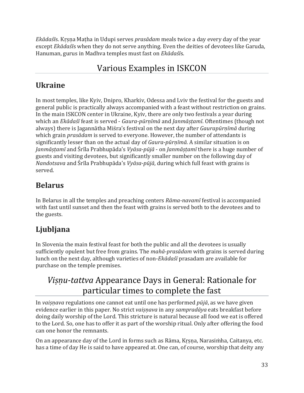*Ekādaśī*s. Kṛṣṇa Maṭha in Udupi serves *prasādam* meals twice a day every day of the year except *Ekādaśī*s when they do not serve anything. Even the deities of devotees like Garuda, Hanuman, gurus in Madhva temples must fast on *Ekādaśī*s.

# Various Examples in ISKCON

# <span id="page-32-1"></span><span id="page-32-0"></span>**Ukraine**

In most temples, like Kyiv, Dnipro, Kharkiv, Odessa and Lviv the festival for the guests and general public is practically always accompanied with a feast without restriction on grains. In the main ISKCON center in Ukraine, Kyiv, there are only two festivals a year during which an *Ekādaśī* feast is served - *Gaura-pūrṇīmā* and *Janmāṣṭamī*. Oftentimes (though not always) there is Jagannātha Miśra's festival on the next day after *Gaurapūrṇīmā* during which grain *prasādam* is served to everyone. However, the number of attendants is significantly lesser than on the actual day of *Gaura-pūrṇīmā*. A similar situation is on *Janmāṣṭamī* and Śrīla Prabhupāda's *Vyāsa-pūjā* - on *Janmāṣṭamī* there is a huge number of guests and visiting devotees, but significantly smaller number on the following day of *Nandotsava* and Śrīla Prabhupāda's *Vyāsa-pūjā*, during which full feast with grains is served.

# <span id="page-32-2"></span>**Belarus**

In Belarus in all the temples and preaching centers *Rāma-navamī* festival is accompanied with fast until sunset and then the feast with grains is served both to the devotees and to the guests.

# <span id="page-32-3"></span>**Ljubljana**

In Slovenia the main festival feast for both the public and all the devotees is usually sufficiently opulent but free from grains. The *mahā-prasādam* with grains is served during lunch on the next day, although varieties of non-*Ekādaśī* prasadam are available for purchase on the temple premises.

# <span id="page-32-4"></span>*Viṣṇu-tattva* Appearance Days in General: Rationale for particular times to complete the fast

In *vaiṣṇava* regulations one cannot eat until one has performed *pūjā*, as we have given evidence earlier in this paper. No strict *vaiṣṇava* in any *sampradāya* eats breakfast before doing daily worship of the Lord. This stricture is natural because all food we eat is offered to the Lord. So, one has to offer it as part of the worship ritual. Only after offering the food can one honor the remnants.

On an appearance day of the Lord in forms such as Rāma, Kṛṣṇa, Narasiṁha, Caitanya, etc. has a time of day He is said to have appeared at. One can, of course, worship that deity any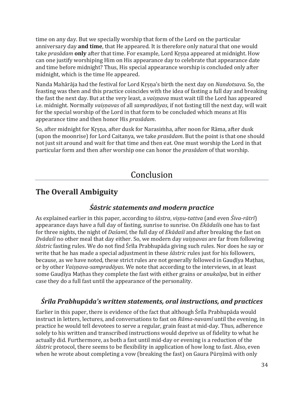time on any day. But we specially worship that form of the Lord on the particular anniversary day **and time**, that He appeared. It is therefore only natural that one would take *prasādam* **only** after that time. For example, Lord Kṛṣṇa appeared at midnight. How can one justify worshiping Him on His appearance day to celebrate that appearance date and time before midnight? Thus, His special appearance worship is concluded only after midnight, which is the time He appeared.

Nanda Mahārāja had the festival for Lord Kṛṣṇa's birth the next day on *Nandotsava*. So, the feasting was then and this practice coincides with the idea of fasting a full day and breaking the fast the next day. But at the very least, a *vaiṣṇava* must wait till the Lord has appeared i.e. midnight. Normally *vaiṣṇavas* of all *sampradāyas*, if not fasting till the next day, will wait for the special worship of the Lord in that form to be concluded which means at His appearance time and then honor His *prasādam*.

So, after midnight for Kṛṣṇa, after dusk for Narasiṁha, after noon for Rāma, after dusk (upon the moonrise) for Lord Caitanya, we take *prasādam*. But the point is that one should not just sit around and wait for that time and then eat. One must worship the Lord in that particular form and then after worship one can honor the *prasādam* of that worship.

# Conclusion

# <span id="page-33-1"></span><span id="page-33-0"></span>**The Overall Ambiguity**

### *Śāstric statements and modern practice*

<span id="page-33-2"></span>As explained earlier in this paper, according to *śāstra*, *viṣṇu-tattva* (and even *Śiva-rātrī*) appearance days have a full day of fasting, sunrise to sunrise. On *Ekādaśī*s one has to fast for three nights, the night of *Daśamī*, the full day of *Ekādaśī* and after breaking the fast on *Dvādaśī* no other meal that day either. So, we modern day *vaiṣṇavas* are far from following *śāstric* fasting rules. We do not find Śrīla Prabhupāda giving such rules. Nor does he say or write that he has made a special adjustment in these *śāstric* rules just for his followers, because, as we have noted, these strict rules are not generally followed in Gauḍīya Maṭhas, or by other *Vaiṣṇava-sampradāyas*. We note that according to the interviews, in at least some Gauḍīya Maṭhas they complete the fast with either grains or *anukalpa*, but in either case they do a full fast until the appearance of the personality.

### <span id="page-33-3"></span>*Śrīla Prabhupāda's written statements, oral instructions, and practices*

Earlier in this paper, there is evidence of the fact that although Śrīla Prabhupāda would instruct in letters, lectures, and conversations to fast on *Rāma-navamī* until the evening, in practice he would tell devotees to serve a regular, grain feast at mid-day. Thus, adherence solely to his written and transcribed instructions would deprive us of fidelity to what he actually did. Furthermore, as both a fast until mid-day or evening is a reduction of the *śāstric* protocol, there seems to be flexibility in application of how long to fast. Also, even when he wrote about completing a vow (breaking the fast) on Gaura Pūrṇīmā with only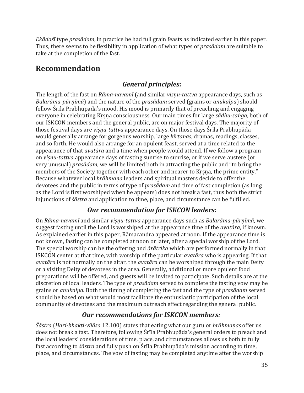*Ekādaśī* type *prasādam*, in practice he had full grain feasts as indicated earlier in this paper. Thus, there seems to be flexibility in application of what types of *prasādam* are suitable to take at the completion of the fast.

# <span id="page-34-0"></span>**Recommendation**

### *General principles:*

<span id="page-34-1"></span>The length of the fast on *Rāma-navamī* (and similar *viṣṇu-tattva* appearance days, such as *Balarāma-pūrṇīmā*) and the nature of the *prasādam* served (grains or *anukalpa*) should follow Śrīla Prabhupāda's mood. His mood is primarily that of preaching and engaging everyone in celebrating Kṛṣṇa consciousness. Our main times for large *sādhu-saṅga*, both of our ISKCON members and the general public, are on major festival days. The majority of those festival days are *viṣṇu-tattva* appearance days. On those days Śrīla Prabhupāda would generally arrange for gorgeous worship, large *kīrtanas*, dramas, readings, classes, and so forth. He would also arrange for an opulent feast, served at a time related to the appearance of that *avatāra* and a time when people would attend. If we follow a program on *viṣṇu-tattva* appearance days of fasting sunrise to sunrise, or if we serve austere (or very unusual) *prasādam*, we will be limited both in attracting the public and "to bring the members of the Society together with each other and nearer to Krsna, the prime entity." Because whatever local *brāhmaṇa* leaders and spiritual masters decide to offer the devotees and the public in terms of type of *prasādam* and time of fast completion (as long as the Lord is first worshiped when he appears) does not break a fast, thus both the strict injunctions of *śāstra* and application to time, place, and circumstance can be fulfilled.

### *Our recommendation for ISKCON leaders:*

<span id="page-34-2"></span>On *Rāma-navamī* and similar *viṣṇu-tattva* appearance days such as *Balarāma-pūrṇīmā*, we suggest fasting until the Lord is worshiped at the appearance time of the *avatāra*, if known. As explained earlier in this paper, Rāmacandra appeared at noon. If the appearance time is not known, fasting can be completed at noon or later, after a special worship of the Lord. The special worship can be the offering and *ārātrika* which are performed normally in that ISKCON center at that time, with worship of the particular *avatāra* who is appearing. If that *avatāra* is not normally on the altar, the *avatāra* can be worshiped through the main Deity or a visiting Deity of devotees in the area. Generally, additional or more opulent food preparations will be offered, and guests will be invited to participate. Such details are at the discretion of local leaders. The type of *prasādam* served to complete the fasting vow may be grains or *anukalpa*. Both the timing of completing the fast and the type of *prasādam* served should be based on what would most facilitate the enthusiastic participation of the local community of devotees and the maximum outreach effect regarding the general public.

### *Our recommendations for ISKCON members:*

<span id="page-34-3"></span>*Śāstra* (*Hari-bhakti-vilāsa* 12.100) states that eating what our guru or *brāhmaṇas* offer us does not break a fast. Therefore, following Śrīla Prabhupāda's general orders to preach and the local leaders' considerations of time, place, and circumstances allows us both to fully fast according to *śāstra* and fully push on Śrīla Prabhupāda's mission according to time, place, and circumstances. The vow of fasting may be completed anytime after the worship